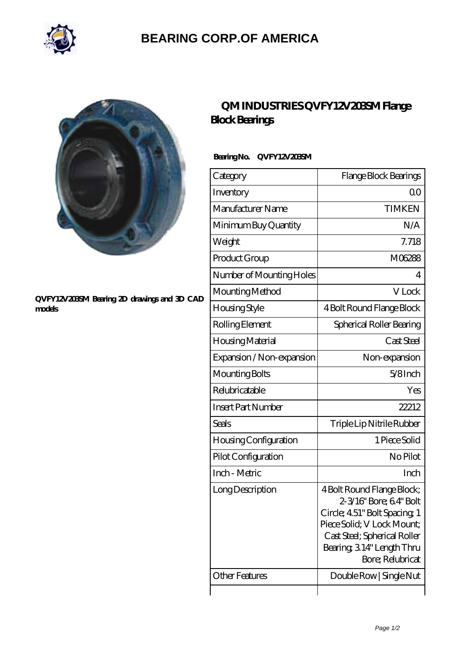

# **[BEARING CORP.OF AMERICA](https://bluemondayreview.com)**



#### **[QVFY12V203SM Bearing 2D drawings and 3D CAD](https://bluemondayreview.com/pic-175606.html) [models](https://bluemondayreview.com/pic-175606.html)**

## **[QM INDUSTRIES QVFY12V203SM Flange](https://bluemondayreview.com/af-175606-qm-industries-qvfy12v203sm-flange-block-bearings.html) [Block Bearings](https://bluemondayreview.com/af-175606-qm-industries-qvfy12v203sm-flange-block-bearings.html)**

### **Bearing No. QVFY12V203SM**

| Category                  | Flange Block Bearings                                                                                                                                                                             |
|---------------------------|---------------------------------------------------------------------------------------------------------------------------------------------------------------------------------------------------|
| Inventory                 | Q0                                                                                                                                                                                                |
| Manufacturer Name         | <b>TIMKEN</b>                                                                                                                                                                                     |
| Minimum Buy Quantity      | N/A                                                                                                                                                                                               |
| Weight                    | 7.718                                                                                                                                                                                             |
| Product Group             | M06288                                                                                                                                                                                            |
| Number of Mounting Holes  | 4                                                                                                                                                                                                 |
| Mounting Method           | V Lock                                                                                                                                                                                            |
| Housing Style             | 4 Bolt Round Flange Block                                                                                                                                                                         |
| Rolling Element           | Spherical Roller Bearing                                                                                                                                                                          |
| Housing Material          | Cast Steel                                                                                                                                                                                        |
| Expansion / Non-expansion | Non-expansion                                                                                                                                                                                     |
| Mounting Bolts            | $5/8$ Inch                                                                                                                                                                                        |
| Relubricatable            | Yes                                                                                                                                                                                               |
| <b>Insert Part Number</b> | 22212                                                                                                                                                                                             |
| Seals                     | Triple Lip Nitrile Rubber                                                                                                                                                                         |
| Housing Configuration     | 1 Piece Solid                                                                                                                                                                                     |
| Pilot Configuration       | No Pilot                                                                                                                                                                                          |
| Inch - Metric             | Inch                                                                                                                                                                                              |
| Long Description          | 4 Bolt Round Flange Block;<br>2-3/16" Bore; 64" Bolt<br>Circle; 451" Bolt Spacing 1<br>Piece Solid; V Lock Mount;<br>Cast Steel; Spherical Roller<br>Bearing 314" Length Thru<br>Bore; Relubricat |
| Other Features            | Double Row   Single Nut                                                                                                                                                                           |
|                           |                                                                                                                                                                                                   |